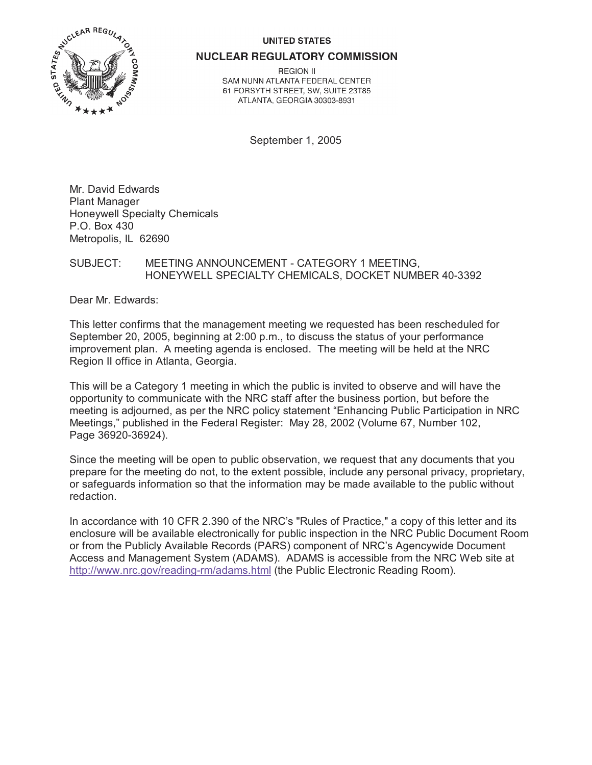#### **UNITED STATES**



**NUCLEAR REGULATORY COMMISSION** 

**REGION II** SAM NUNN ATLANTA FEDERAL CENTER 61 FORSYTH STREET, SW, SUITE 23T85 ATLANTA, GEORGIA 30303-8931

September 1, 2005

Mr. David Edwards Plant Manager Honeywell Specialty Chemicals P.O. Box 430 Metropolis, IL 62690

### SUBJECT: MEETING ANNOUNCEMENT - CATEGORY 1 MEETING, HONEYWELL SPECIALTY CHEMICALS, DOCKET NUMBER 40-3392

Dear Mr. Edwards:

This letter confirms that the management meeting we requested has been rescheduled for September 20, 2005, beginning at 2:00 p.m., to discuss the status of your performance improvement plan. A meeting agenda is enclosed. The meeting will be held at the NRC Region II office in Atlanta, Georgia.

This will be a Category 1 meeting in which the public is invited to observe and will have the opportunity to communicate with the NRC staff after the business portion, but before the meeting is adjourned, as per the NRC policy statement "Enhancing Public Participation in NRC Meetings," published in the Federal Register: May 28, 2002 (Volume 67, Number 102, Page 36920-36924).

Since the meeting will be open to public observation, we request that any documents that you prepare for the meeting do not, to the extent possible, include any personal privacy, proprietary, or safeguards information so that the information may be made available to the public without redaction.

In accordance with 10 CFR 2.390 of the NRC's "Rules of Practice," a copy of this letter and its enclosure will be available electronically for public inspection in the NRC Public Document Room or from the Publicly Available Records (PARS) component of NRC's Agencywide Document Access and Management System (ADAMS). ADAMS is accessible from the NRC Web site at http://www.nrc.gov/reading-rm/adams.html (the Public Electronic Reading Room).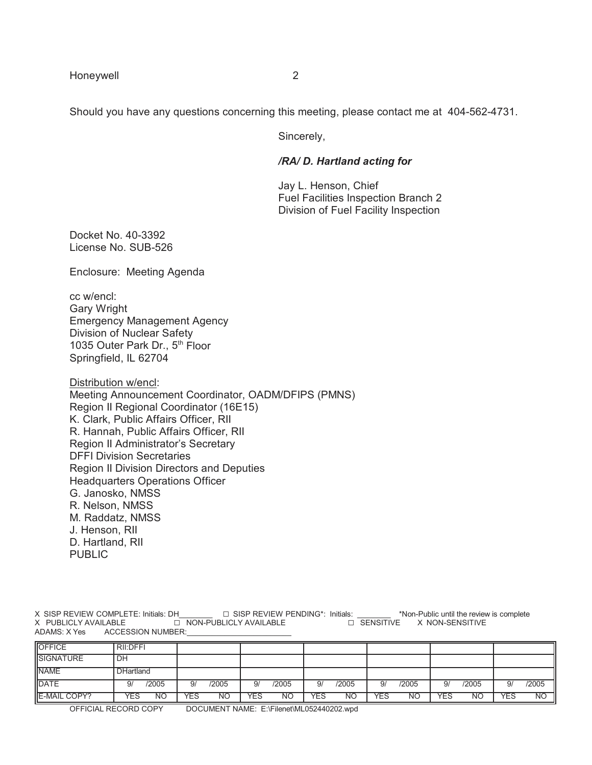Should you have any questions concerning this meeting, please contact me at 404-562-4731.

Sincerely,

### */RA/ D. Hartland acting for*

Jay L. Henson, Chief Fuel Facilities Inspection Branch 2 Division of Fuel Facility Inspection

Docket No. 40-3392 License No. SUB-526

Enclosure: Meeting Agenda

cc w/encl: Gary Wright Emergency Management Agency Division of Nuclear Safety 1035 Outer Park Dr., 5<sup>th</sup> Floor Springfield, IL 62704

Distribution w/encl: Meeting Announcement Coordinator, OADM/DFIPS (PMNS) Region II Regional Coordinator (16E15) K. Clark, Public Affairs Officer, RII R. Hannah, Public Affairs Officer, RII Region II Administrator's Secretary DFFI Division Secretaries Region II Division Directors and Deputies Headquarters Operations Officer G. Janosko, NMSS R. Nelson, NMSS M. Raddatz, NMSS J. Henson, RII D. Hartland, RII PUBLIC

X SISP REVIEW COMPLETE: Initials: DH\_\_\_\_\_\_\_\_ G SISP REVIEW PENDING\*: Initials: \_\_\_\_\_\_\_\_ \*Non-Public until the review is complete EX NON-SENSITIVE AVAILABLE G NON-SENSITIVE ADAMS: X Yes ACCESSION NUMBER:

| <b>OFFICE</b>       | RII:DFFI         |             |                        |                  |                  |                  |                         |
|---------------------|------------------|-------------|------------------------|------------------|------------------|------------------|-------------------------|
| <b>SIGNATURE</b>    | DH               |             |                        |                  |                  |                  |                         |
| <b>NAME</b>         | <b>DHartland</b> |             |                        |                  |                  |                  |                         |
| <b>IDATE</b>        | /2005<br>9/      | /2005<br>9/ | /2005<br>$\mathsf{Q}/$ | /2005<br>9/      | /2005<br>9/      | /2005<br>9/      | /2005<br>9/             |
| <b>E-MAIL COPY?</b> | YES<br><b>NO</b> | YES<br>NΟ   | YES<br>NΟ              | YES<br><b>NO</b> | <b>YES</b><br>NΟ | YES<br><b>NO</b> | <b>YES</b><br><b>NO</b> |

OFFICIAL RECORD COPY DOCUMENT NAME: E:\Filenet\ML052440202.wpd